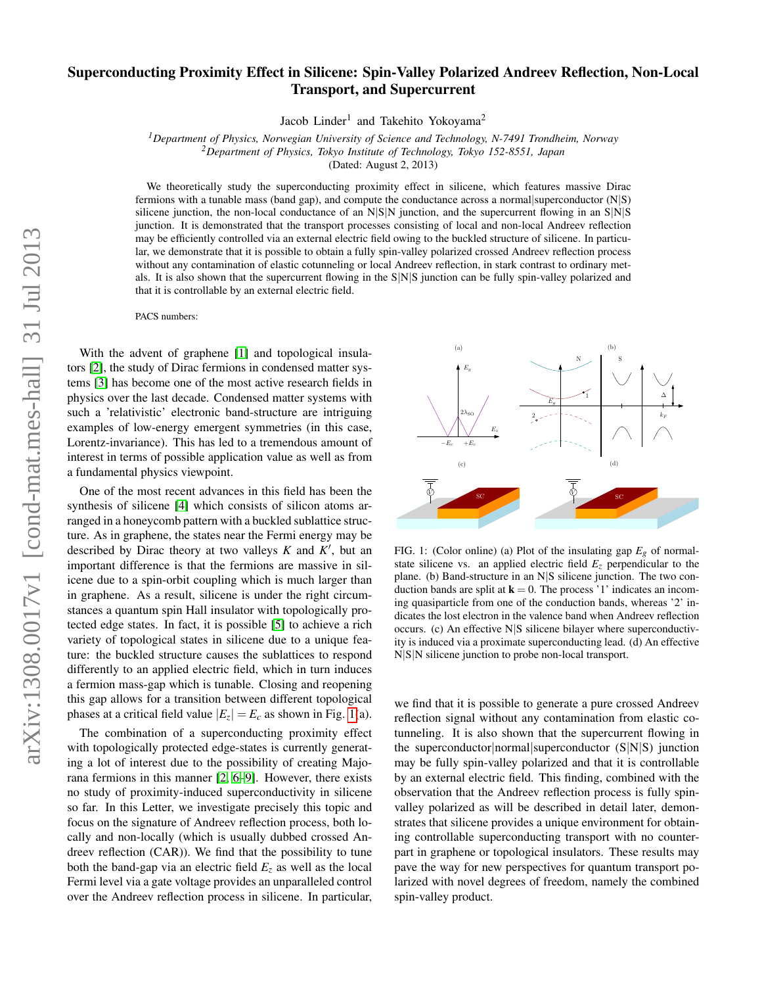## Superconducting Proximity Effect in Silicene: Spin-Valley Polarized Andreev Reflection, Non-Local Transport, and Supercurrent

Jacob Linder<sup>1</sup> and Takehito Yokoyama<sup>2</sup>

*<sup>1</sup>Department of Physics, Norwegian University of Science and Technology, N-7491 Trondheim, Norway <sup>2</sup>Department of Physics, Tokyo Institute of Technology, Tokyo 152-8551, Japan*

(Dated: August 2, 2013)

We theoretically study the superconducting proximity effect in silicene, which features massive Dirac fermions with a tunable mass (band gap), and compute the conductance across a normal superconductor  $(N|S)$ silicene junction, the non-local conductance of an  $N|S|N$  junction, and the supercurrent flowing in an  $S|N|S$ junction. It is demonstrated that the transport processes consisting of local and non-local Andreev reflection may be efficiently controlled via an external electric field owing to the buckled structure of silicene. In particular, we demonstrate that it is possible to obtain a fully spin-valley polarized crossed Andreev reflection process without any contamination of elastic cotunneling or local Andreev reflection, in stark contrast to ordinary metals. It is also shown that the supercurrent flowing in the S|N|S junction can be fully spin-valley polarized and that it is controllable by an external electric field.

PACS numbers:

With the advent of graphene [\[1\]](#page-4-0) and topological insulators [\[2\]](#page-4-1), the study of Dirac fermions in condensed matter systems [\[3\]](#page-4-2) has become one of the most active research fields in physics over the last decade. Condensed matter systems with such a 'relativistic' electronic band-structure are intriguing examples of low-energy emergent symmetries (in this case, Lorentz-invariance). This has led to a tremendous amount of interest in terms of possible application value as well as from a fundamental physics viewpoint.

One of the most recent advances in this field has been the synthesis of silicene [\[4\]](#page-4-3) which consists of silicon atoms arranged in a honeycomb pattern with a buckled sublattice structure. As in graphene, the states near the Fermi energy may be described by Dirac theory at two valleys  $K$  and  $K'$ , but an important difference is that the fermions are massive in silicene due to a spin-orbit coupling which is much larger than in graphene. As a result, silicene is under the right circumstances a quantum spin Hall insulator with topologically protected edge states. In fact, it is possible [\[5\]](#page-4-4) to achieve a rich variety of topological states in silicene due to a unique feature: the buckled structure causes the sublattices to respond differently to an applied electric field, which in turn induces a fermion mass-gap which is tunable. Closing and reopening this gap allows for a transition between different topological phases at a critical field value  $|E_z| = E_c$  as shown in Fig. [1\(](#page-0-0)a).

The combination of a superconducting proximity effect with topologically protected edge-states is currently generating a lot of interest due to the possibility of creating Majorana fermions in this manner [\[2,](#page-4-1) [6](#page-4-5)[–9\]](#page-4-6). However, there exists no study of proximity-induced superconductivity in silicene so far. In this Letter, we investigate precisely this topic and focus on the signature of Andreev reflection process, both locally and non-locally (which is usually dubbed crossed Andreev reflection (CAR)). We find that the possibility to tune both the band-gap via an electric field  $E<sub>z</sub>$  as well as the local Fermi level via a gate voltage provides an unparalleled control over the Andreev reflection process in silicene. In particular,



<span id="page-0-0"></span>FIG. 1: (Color online) (a) Plot of the insulating gap  $E_g$  of normalstate silicene vs. an applied electric field  $E<sub>z</sub>$  perpendicular to the plane. (b) Band-structure in an N|S silicene junction. The two conduction bands are split at  $\mathbf{k} = 0$ . The process '1' indicates an incoming quasiparticle from one of the conduction bands, whereas '2' indicates the lost electron in the valence band when Andreev reflection occurs. (c) An effective N|S silicene bilayer where superconductivity is induced via a proximate superconducting lead. (d) An effective N|S|N silicene junction to probe non-local transport.

we find that it is possible to generate a pure crossed Andreev reflection signal without any contamination from elastic cotunneling. It is also shown that the supercurrent flowing in the superconductor|normal|superconductor (S|N|S) junction may be fully spin-valley polarized and that it is controllable by an external electric field. This finding, combined with the observation that the Andreev reflection process is fully spinvalley polarized as will be described in detail later, demonstrates that silicene provides a unique environment for obtaining controllable superconducting transport with no counterpart in graphene or topological insulators. These results may pave the way for new perspectives for quantum transport polarized with novel degrees of freedom, namely the combined spin-valley product.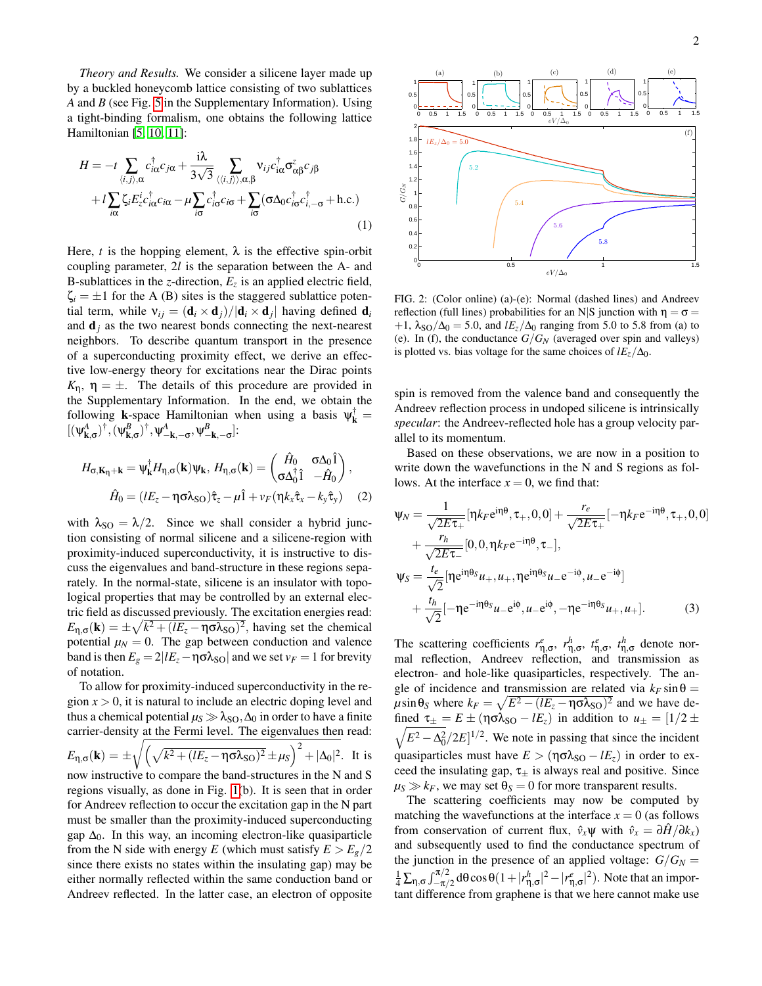*Theory and Results.* We consider a silicene layer made up by a buckled honeycomb lattice consisting of two sublattices *A* and *B* (see Fig. [5](#page-5-0) in the Supplementary Information). Using a tight-binding formalism, one obtains the following lattice Hamiltonian [\[5,](#page-4-4) [10,](#page-4-7) [11\]](#page-4-8):

$$
H = -t \sum_{\langle i,j\rangle,\alpha} c_{i\alpha}^{\dagger} c_{j\alpha} + \frac{i\lambda}{3\sqrt{3}} \sum_{\langle\langle i,j\rangle\rangle,\alpha,\beta} \mathbf{v}_{ij} c_{i\alpha}^{\dagger} \sigma_{\alpha\beta}^{z} c_{j\beta} + t \sum_{i\alpha} \zeta_{i} E_{z}^{i} c_{i\alpha}^{\dagger} c_{i\alpha} - \mu \sum_{i\sigma} c_{i\sigma}^{\dagger} c_{i\sigma} + \sum_{i\sigma} (\sigma \Delta_{0} c_{i\sigma}^{\dagger} c_{i,-\sigma}^{\dagger} + \text{h.c.})
$$
\n(1)

Here, *t* is the hopping element,  $\lambda$  is the effective spin-orbit coupling parameter, 2*l* is the separation between the A- and B-sublattices in the *z*-direction,  $E_z$  is an applied electric field,  $\zeta_i = \pm 1$  for the A (B) sites is the staggered sublattice potential term, while  $v_{ij} = (\mathbf{d}_i \times \mathbf{d}_j)/|\mathbf{d}_i \times \mathbf{d}_j|$  having defined  $\mathbf{d}_i$ and  $\mathbf{d}_i$  as the two nearest bonds connecting the next-nearest neighbors. To describe quantum transport in the presence of a superconducting proximity effect, we derive an effective low-energy theory for excitations near the Dirac points  $K_n$ ,  $\eta = \pm$ . The details of this procedure are provided in the Supplementary Information. In the end, we obtain the following **k**-space Hamiltonian when using a basis  $\psi_k^{\dagger} =$  $[(\psi^A_{\mathbf{k},\sigma})^{\dagger},(\psi^B_{\mathbf{k},\sigma})^{\dagger},\psi^A_{-\mathbf{k},-\sigma},\psi^B_{-\mathbf{k},-\sigma}].$ 

$$
H_{\sigma, \mathbf{K}_{\eta} + \mathbf{k}} = \psi_{\mathbf{k}}^{\dagger} H_{\eta, \sigma}(\mathbf{k}) \psi_{\mathbf{k}}, H_{\eta, \sigma}(\mathbf{k}) = \begin{pmatrix} \hat{H}_0 & \sigma \Delta_0 \hat{1} \\ \sigma \Delta_0^{\dagger} \hat{1} & -\hat{H}_0 \end{pmatrix},
$$

$$
\hat{H}_0 = (lE_z - \eta \sigma \lambda_{\text{SO}}) \hat{\tau}_z - \mu \hat{1} + \nu_F (\eta k_x \hat{\tau}_x - k_y \hat{\tau}_y) \tag{2}
$$

with  $\lambda_{\text{SO}} = \lambda/2$ . Since we shall consider a hybrid junction consisting of normal silicene and a silicene-region with proximity-induced superconductivity, it is instructive to discuss the eigenvalues and band-structure in these regions separately. In the normal-state, silicene is an insulator with topological properties that may be controlled by an external electric field as discussed previously. The excitation energies read:  $E_{\eta,\sigma}(\mathbf{k}) = \pm \sqrt{k^2 + (lE_z - \eta \sigma \lambda_{\text{SO}})^2}$ , having set the chemical potential  $\mu_N = 0$ . The gap between conduction and valence band is then  $E_g = 2|lE_z - \eta \sigma \lambda_{SO}|$  and we set  $v_F = 1$  for brevity of notation.

To allow for proximity-induced superconductivity in the region *x* > 0, it is natural to include an electric doping level and thus a chemical potential  $\mu$ <sup>*S*</sup>  $\gg \lambda$ <sub>SO</sub>,  $\Delta$ <sup>0</sup> in order to have a finite carrier-density at the Fermi level. The eigenvalues then read:  $E_{\eta,\sigma}(\mathbf{k}) = \pm \sqrt{\left(\sqrt{k^2 + (lE_z - \eta \sigma \lambda_{\text{SO}})^2} \pm \mu_S\right)^2 + |\Delta_0|^2}$ . It is now instructive to compare the band-structures in the N and S regions visually, as done in Fig. [1\(](#page-0-0)b). It is seen that in order for Andreev reflection to occur the excitation gap in the N part must be smaller than the proximity-induced superconducting gap  $\Delta_0$ . In this way, an incoming electron-like quasiparticle from the N side with energy *E* (which must satisfy  $E > E<sub>g</sub>/2$ since there exists no states within the insulating gap) may be either normally reflected within the same conduction band or Andreev reflected. In the latter case, an electron of opposite



<span id="page-1-0"></span>FIG. 2: (Color online) (a)-(e): Normal (dashed lines) and Andreev reflection (full lines) probabilities for an N|S junction with  $η = σ =$  $+1$ ,  $\lambda_{\text{SO}}/\Delta_0 = 5.0$ , and  $lE_z/\Delta_0$  ranging from 5.0 to 5.8 from (a) to (e). In (f), the conductance  $G/G_N$  (averaged over spin and valleys) is plotted vs. bias voltage for the same choices of  $lE_z/\Delta_0$ .

spin is removed from the valence band and consequently the Andreev reflection process in undoped silicene is intrinsically *specular*: the Andreev-reflected hole has a group velocity parallel to its momentum.

Based on these observations, we are now in a position to write down the wavefunctions in the N and S regions as follows. At the interface  $x = 0$ , we find that:

$$
\Psi_N = \frac{1}{\sqrt{2E\tau_+}} [\eta k_F e^{i\eta \theta}, \tau_+, 0, 0] + \frac{r_e}{\sqrt{2E\tau_+}} [-\eta k_F e^{-i\eta \theta}, \tau_+, 0, 0]
$$
  
+ 
$$
\frac{r_h}{\sqrt{2E\tau_-}} [0, 0, \eta k_F e^{-i\eta \theta}, \tau_-],
$$
  

$$
\Psi_S = \frac{t_e}{\sqrt{2}} [\eta e^{i\eta \theta_S} u_+, u_+, \eta e^{i\eta \theta_S} u_- e^{-i\phi}, u_- e^{-i\phi}]
$$
  
+ 
$$
\frac{t_h}{\sqrt{2}} [-\eta e^{-i\eta \theta_S} u_- e^{i\phi}, u_- e^{i\phi}, -\eta e^{-i\eta \theta_S} u_+, u_+].
$$
 (3)

The scattering coefficients  $r_{\eta,\sigma}^e$ ,  $r_{\eta,\sigma}^h$ ,  $t_{\eta,\sigma}^e$ ,  $t_{\eta,\sigma}^h$  denote normal reflection, Andreev reflection, and transmission as electron- and hole-like quasiparticles, respectively. The angle of incidence and transmission are related via  $k_F \sin \theta =$  $\mu$ sin $\theta_S$  where  $k_F = \sqrt{E^2 - (lE_z - \eta \sigma \lambda_{SO})^2}$  and we have de- $\sqrt{E^2 - \Delta_0^2}/2E]^{1/2}$ . We note in passing that since the incident fined  $\tau_{\pm} = E \pm (\eta \sigma \lambda_{\text{SO}} - lE_z)$  in addition to  $u_{\pm} = [1/2 \pm \eta]$ quasiparticles must have  $E > (\eta \sigma \lambda_{SO} - lE_z)$  in order to exceed the insulating gap,  $\tau_{\pm}$  is always real and positive. Since  $\mu$ <sub>S</sub>  $\gg k$ <sub>*F*</sub>, we may set  $\theta$ <sub>S</sub> = 0 for more transparent results.

The scattering coefficients may now be computed by matching the wavefunctions at the interface  $x = 0$  (as follows from conservation of current flux,  $\hat{v}_x \psi$  with  $\hat{v}_x = \partial \hat{H} / \partial k_x$ and subsequently used to find the conductance spectrum of the junction in the presence of an applied voltage:  $G/G_N =$  $\frac{1}{4}\sum_{\eta,\sigma}\int_{-\pi/2}^{\pi/2}d\theta\cos\theta(1+|r_{\eta,\sigma}^h|^2-|r_{\eta,\sigma}^e|^2)$ . Note that an important difference from graphene is that we here cannot make use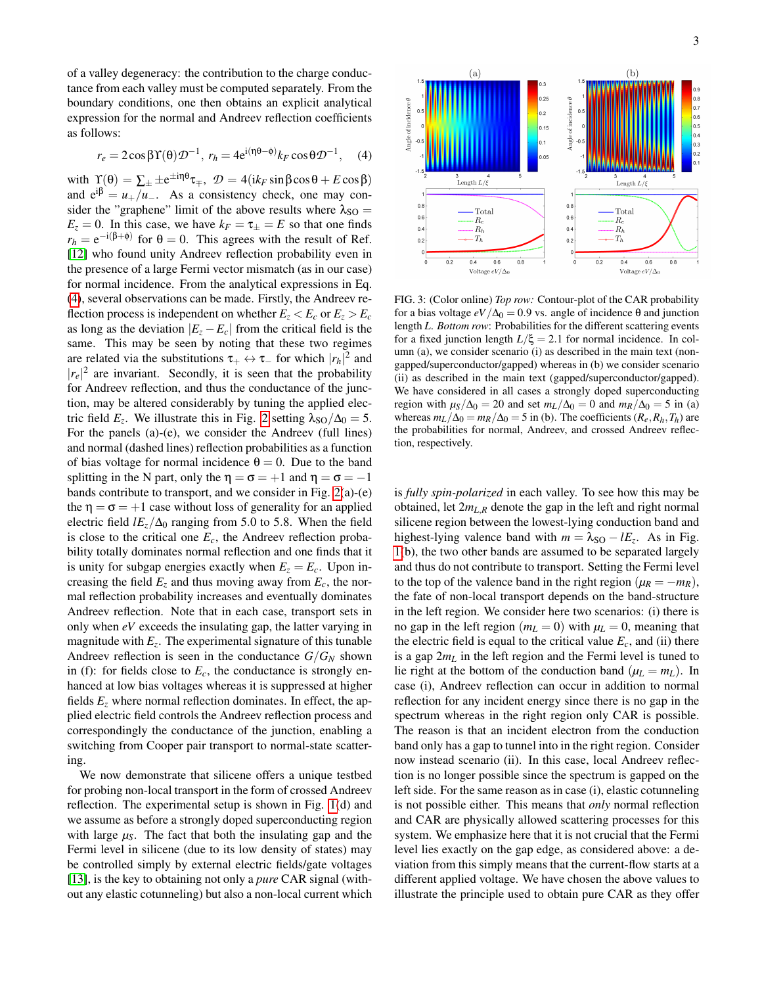of a valley degeneracy: the contribution to the charge conductance from each valley must be computed separately. From the boundary conditions, one then obtains an explicit analytical expression for the normal and Andreev reflection coefficients as follows:

$$
r_e = 2\cos\beta\Upsilon(\theta)\mathcal{D}^{-1}, r_h = 4e^{i(\eta\theta - \phi)}k_F\cos\theta\mathcal{D}^{-1}, \quad (4)
$$

with  $\Upsilon(\theta) = \sum_{\pm} \pm e^{\pm i\eta \theta} \tau_{\mp}, \ \mathcal{D} = 4(ik_F \sin \beta \cos \theta + E \cos \beta)$ and  $e^{i\beta} = u_{+}/u_{-}$ . As a consistency check, one may consider the "graphene" limit of the above results where  $\lambda_{SO} =$  $E_z = 0$ . In this case, we have  $k_F = \tau_{\pm} = E$  so that one finds  $r_h = e^{-i(\beta + \phi)}$  for  $\theta = 0$ . This agrees with the result of Ref. [\[12\]](#page-4-9) who found unity Andreev reflection probability even in the presence of a large Fermi vector mismatch (as in our case) for normal incidence. From the analytical expressions in Eq. [\(4\)](#page-2-0), several observations can be made. Firstly, the Andreev reflection process is independent on whether  $E_z < E_c$  or  $E_z > E_c$ as long as the deviation  $|E_z - E_c|$  from the critical field is the same. This may be seen by noting that these two regimes are related via the substitutions  $\tau_+ \leftrightarrow \tau_-$  for which  $|r_h|^2$  and  $|r_e|^2$  are invariant. Secondly, it is seen that the probability for Andreev reflection, and thus the conductance of the junction, may be altered considerably by tuning the applied electric field  $E_z$ . We illustrate this in Fig. [2](#page-1-0) setting  $\lambda_{SO}/\Delta_0 = 5$ . For the panels (a)-(e), we consider the Andreev (full lines) and normal (dashed lines) reflection probabilities as a function of bias voltage for normal incidence  $\theta = 0$ . Due to the band splitting in the N part, only the  $\eta = \sigma = +1$  and  $\eta = \sigma = -1$ bands contribute to transport, and we consider in Fig. [2\(](#page-1-0)a)-(e) the  $\eta = \sigma = +1$  case without loss of generality for an applied electric field  $lE_z/\Delta_0$  ranging from 5.0 to 5.8. When the field is close to the critical one  $E_c$ , the Andreev reflection probability totally dominates normal reflection and one finds that it is unity for subgap energies exactly when  $E_z = E_c$ . Upon increasing the field  $E_z$  and thus moving away from  $E_c$ , the normal reflection probability increases and eventually dominates Andreev reflection. Note that in each case, transport sets in only when *eV* exceeds the insulating gap, the latter varying in magnitude with *E<sup>z</sup>* . The experimental signature of this tunable Andreev reflection is seen in the conductance  $G/G_N$  shown in (f): for fields close to  $E_c$ , the conductance is strongly enhanced at low bias voltages whereas it is suppressed at higher fields  $E<sub>z</sub>$  where normal reflection dominates. In effect, the applied electric field controls the Andreev reflection process and correspondingly the conductance of the junction, enabling a switching from Cooper pair transport to normal-state scattering.

We now demonstrate that silicene offers a unique testbed for probing non-local transport in the form of crossed Andreev reflection. The experimental setup is shown in Fig. [1\(](#page-0-0)d) and we assume as before a strongly doped superconducting region with large  $\mu$ <sub>S</sub>. The fact that both the insulating gap and the Fermi level in silicene (due to its low density of states) may be controlled simply by external electric fields/gate voltages [\[13\]](#page-4-10), is the key to obtaining not only a *pure* CAR signal (without any elastic cotunneling) but also a non-local current which

<span id="page-2-0"></span>

<span id="page-2-1"></span>FIG. 3: (Color online) *Top row:* Contour-plot of the CAR probability for a bias voltage  $eV/\Delta_0 = 0.9$  vs. angle of incidence θ and junction length *L*. *Bottom row*: Probabilities for the different scattering events for a fixed junction length  $L/\xi = 2.1$  for normal incidence. In column (a), we consider scenario (i) as described in the main text (nongapped/superconductor/gapped) whereas in (b) we consider scenario (ii) as described in the main text (gapped/superconductor/gapped). We have considered in all cases a strongly doped superconducting region with  $\mu_S/\Delta_0 = 20$  and set  $m_L/\Delta_0 = 0$  and  $m_R/\Delta_0 = 5$  in (a) whereas  $m_L/\Delta_0 = m_R/\Delta_0 = 5$  in (b). The coefficients ( $R_e, R_h, T_h$ ) are the probabilities for normal, Andreev, and crossed Andreev reflection, respectively.

is *fully spin-polarized* in each valley. To see how this may be obtained, let  $2m_{L,R}$  denote the gap in the left and right normal silicene region between the lowest-lying conduction band and highest-lying valence band with  $m = \lambda_{SO} - lE_z$ . As in Fig. [1\(](#page-0-0)b), the two other bands are assumed to be separated largely and thus do not contribute to transport. Setting the Fermi level to the top of the valence band in the right region ( $\mu_R = -m_R$ ), the fate of non-local transport depends on the band-structure in the left region. We consider here two scenarios: (i) there is no gap in the left region ( $m<sub>L</sub> = 0$ ) with  $\mu<sub>L</sub> = 0$ , meaning that the electric field is equal to the critical value  $E_c$ , and (ii) there is a gap 2*m<sup>L</sup>* in the left region and the Fermi level is tuned to lie right at the bottom of the conduction band  $(\mu_L = m_L)$ . In case (i), Andreev reflection can occur in addition to normal reflection for any incident energy since there is no gap in the spectrum whereas in the right region only CAR is possible. The reason is that an incident electron from the conduction band only has a gap to tunnel into in the right region. Consider now instead scenario (ii). In this case, local Andreev reflection is no longer possible since the spectrum is gapped on the left side. For the same reason as in case (i), elastic cotunneling is not possible either. This means that *only* normal reflection and CAR are physically allowed scattering processes for this system. We emphasize here that it is not crucial that the Fermi level lies exactly on the gap edge, as considered above: a deviation from this simply means that the current-flow starts at a different applied voltage. We have chosen the above values to illustrate the principle used to obtain pure CAR as they offer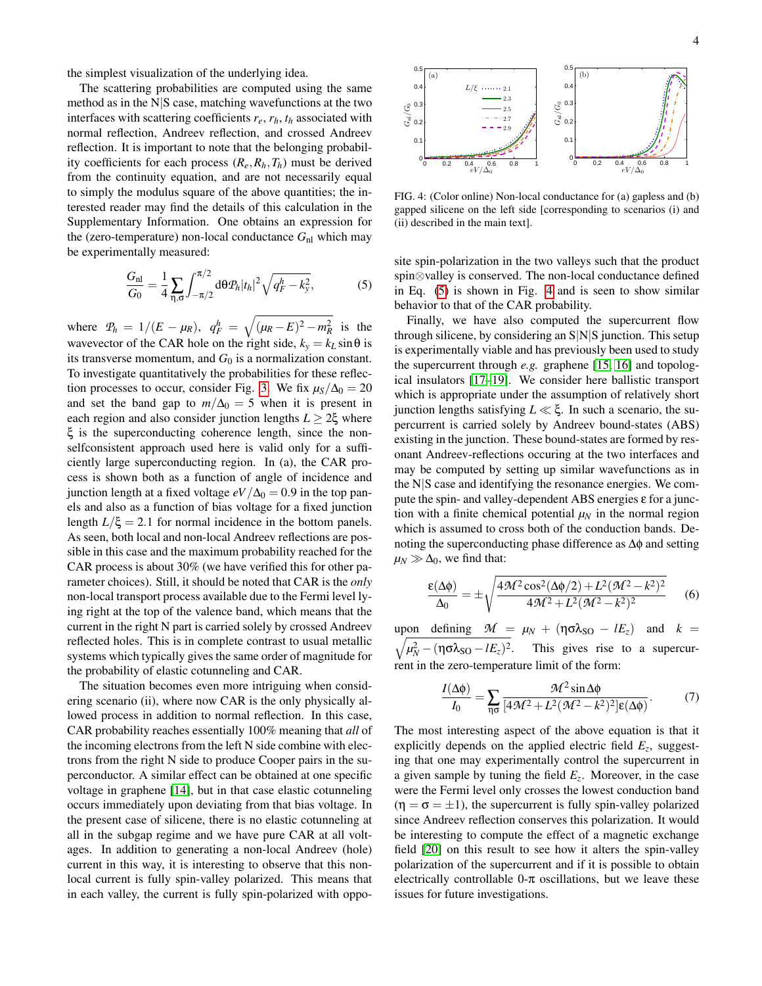the simplest visualization of the underlying idea.

The scattering probabilities are computed using the same method as in the N|S case, matching wavefunctions at the two interfaces with scattering coefficients *re*, *rh*, *t<sup>h</sup>* associated with normal reflection, Andreev reflection, and crossed Andreev reflection. It is important to note that the belonging probability coefficients for each process  $(R_e, R_h, T_h)$  must be derived from the continuity equation, and are not necessarily equal to simply the modulus square of the above quantities; the interested reader may find the details of this calculation in the Supplementary Information. One obtains an expression for the (zero-temperature) non-local conductance  $G_{nl}$  which may be experimentally measured:

$$
\frac{G_{\rm nl}}{G_0} = \frac{1}{4} \sum_{\eta, \sigma} \int_{-\pi/2}^{\pi/2} d\theta \mathcal{P}_h |t_h|^2 \sqrt{q_F^h - k_y^2},\tag{5}
$$

where  $P_h = 1/(E - \mu_R)$ ,  $q_F^h = \sqrt{(\mu_R - E)^2 - m_R^2}$  is the wavevector of the CAR hole on the right side,  $k_y = k_L \sin \theta$  is its transverse momentum, and  $G_0$  is a normalization constant. To investigate quantitatively the probabilities for these reflec-tion processes to occur, consider Fig. [3.](#page-2-1) We fix  $\mu$ <sub>S</sub>/ $\Delta$ <sub>0</sub> = 20 and set the band gap to  $m/\Delta_0 = 5$  when it is present in each region and also consider junction lengths  $L \geq 2\xi$  where ξ is the superconducting coherence length, since the nonselfconsistent approach used here is valid only for a sufficiently large superconducting region. In (a), the CAR process is shown both as a function of angle of incidence and junction length at a fixed voltage  $eV/\Delta_0 = 0.9$  in the top panels and also as a function of bias voltage for a fixed junction length  $L/\xi = 2.1$  for normal incidence in the bottom panels. As seen, both local and non-local Andreev reflections are possible in this case and the maximum probability reached for the CAR process is about 30% (we have verified this for other parameter choices). Still, it should be noted that CAR is the *only* non-local transport process available due to the Fermi level lying right at the top of the valence band, which means that the current in the right N part is carried solely by crossed Andreev reflected holes. This is in complete contrast to usual metallic systems which typically gives the same order of magnitude for the probability of elastic cotunneling and CAR.

The situation becomes even more intriguing when considering scenario (ii), where now CAR is the only physically allowed process in addition to normal reflection. In this case, CAR probability reaches essentially 100% meaning that *all* of the incoming electrons from the left N side combine with electrons from the right N side to produce Cooper pairs in the superconductor. A similar effect can be obtained at one specific voltage in graphene [\[14\]](#page-4-11), but in that case elastic cotunneling occurs immediately upon deviating from that bias voltage. In the present case of silicene, there is no elastic cotunneling at all in the subgap regime and we have pure CAR at all voltages. In addition to generating a non-local Andreev (hole) current in this way, it is interesting to observe that this nonlocal current is fully spin-valley polarized. This means that in each valley, the current is fully spin-polarized with oppo-



<span id="page-3-1"></span>FIG. 4: (Color online) Non-local conductance for (a) gapless and (b) gapped silicene on the left side [corresponding to scenarios (i) and (ii) described in the main text].

<span id="page-3-0"></span>site spin-polarization in the two valleys such that the product spin⊗valley is conserved. The non-local conductance defined in Eq. [\(5\)](#page-3-0) is shown in Fig. [4](#page-3-1) and is seen to show similar behavior to that of the CAR probability.

Finally, we have also computed the supercurrent flow through silicene, by considering an S|N|S junction. This setup is experimentally viable and has previously been used to study the supercurrent through *e.g.* graphene [\[15,](#page-4-12) [16\]](#page-4-13) and topological insulators [\[17](#page-4-14)[–19\]](#page-4-15). We consider here ballistic transport which is appropriate under the assumption of relatively short junction lengths satisfying *L* ξ. In such a scenario, the supercurrent is carried solely by Andreev bound-states (ABS) existing in the junction. These bound-states are formed by resonant Andreev-reflections occuring at the two interfaces and may be computed by setting up similar wavefunctions as in the N|S case and identifying the resonance energies. We compute the spin- and valley-dependent ABS energies ε for a junction with a finite chemical potential  $\mu_N$  in the normal region which is assumed to cross both of the conduction bands. Denoting the superconducting phase difference as ∆φ and setting  $\mu_N \gg \Delta_0$ , we find that:

$$
\frac{\varepsilon(\Delta\phi)}{\Delta_0} = \pm \sqrt{\frac{4\mathcal{M}^2 \cos^2(\Delta\phi/2) + L^2(\mathcal{M}^2 - k^2)^2}{4\mathcal{M}^2 + L^2(\mathcal{M}^2 - k^2)^2}}
$$
 (6)

 $\mu_{\text{N}}$  defining  $\mathcal{M} = \mu_{\text{N}} + (\eta \sigma \lambda_{\text{SO}} - lE_z)$  and  $k =$  $\sqrt{\mu_N^2 - (\eta \sigma \lambda_{\text{SO}} - lE_z)^2}$ . This gives rise to a supercurrent in the zero-temperature limit of the form:

$$
\frac{I(\Delta\phi)}{I_0} = \sum_{\eta\sigma} \frac{\mathcal{M}^2 \sin \Delta\phi}{[4\mathcal{M}^2 + L^2(\mathcal{M}^2 - k^2)^2] \varepsilon(\Delta\phi)}.
$$
(7)

The most interesting aspect of the above equation is that it explicitly depends on the applied electric field *E<sup>z</sup>* , suggesting that one may experimentally control the supercurrent in a given sample by tuning the field *E<sup>z</sup>* . Moreover, in the case were the Fermi level only crosses the lowest conduction band  $(\eta = \sigma = \pm 1)$ , the supercurrent is fully spin-valley polarized since Andreev reflection conserves this polarization. It would be interesting to compute the effect of a magnetic exchange field [\[20\]](#page-4-16) on this result to see how it alters the spin-valley polarization of the supercurrent and if it is possible to obtain electrically controllable  $0-\pi$  oscillations, but we leave these issues for future investigations.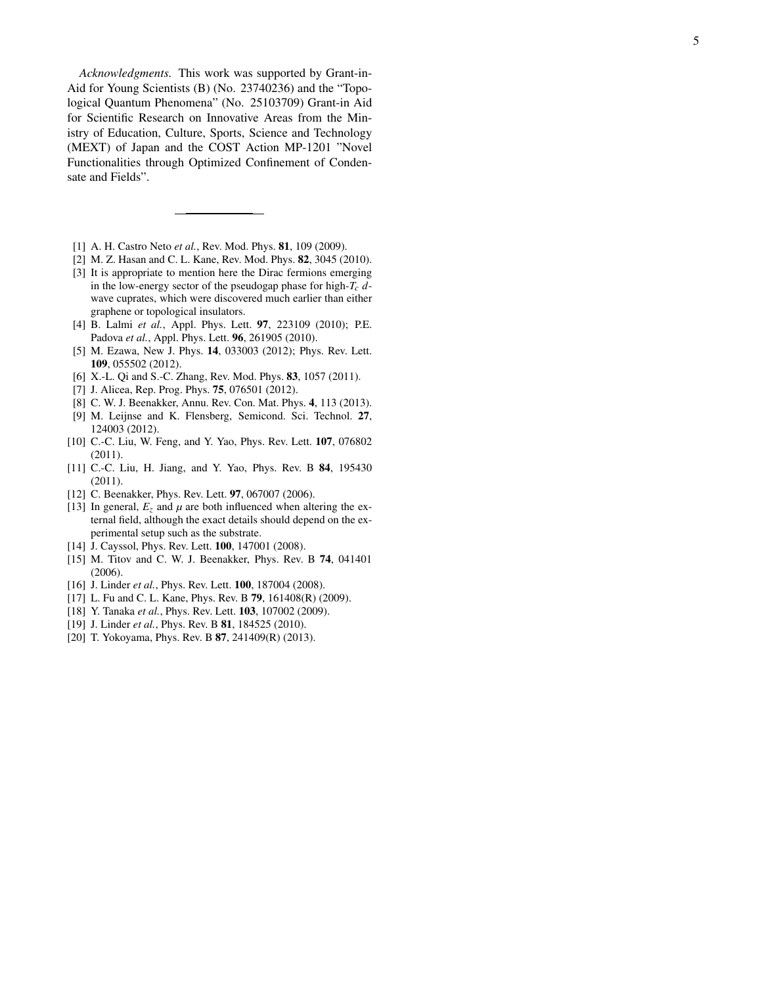*Acknowledgments.* This work was supported by Grant-in-Aid for Young Scientists (B) (No. 23740236) and the "Topological Quantum Phenomena" (No. 25103709) Grant-in Aid for Scientific Research on Innovative Areas from the Ministry of Education, Culture, Sports, Science and Technology (MEXT) of Japan and the COST Action MP-1201 "Novel Functionalities through Optimized Confinement of Condensate and Fields".

- <span id="page-4-0"></span>[1] A. H. Castro Neto *et al.*, Rev. Mod. Phys. 81, 109 (2009).
- <span id="page-4-1"></span>[2] M. Z. Hasan and C. L. Kane, Rev. Mod. Phys. 82, 3045 (2010).
- <span id="page-4-2"></span>[3] It is appropriate to mention here the Dirac fermions emerging in the low-energy sector of the pseudogap phase for high-*Tc d* wave cuprates, which were discovered much earlier than either graphene or topological insulators.
- <span id="page-4-3"></span>[4] B. Lalmi *et al.*, Appl. Phys. Lett. 97, 223109 (2010); P.E. Padova *et al.*, Appl. Phys. Lett. 96, 261905 (2010).
- <span id="page-4-4"></span>[5] M. Ezawa, New J. Phys. 14, 033003 (2012); Phys. Rev. Lett. 109, 055502 (2012).
- <span id="page-4-5"></span>[6] X.-L. Qi and S.-C. Zhang, Rev. Mod. Phys. 83, 1057 (2011).
- [7] J. Alicea, Rep. Prog. Phys. 75, 076501 (2012).
- [8] C. W. J. Beenakker, Annu. Rev. Con. Mat. Phys. 4, 113 (2013).
- <span id="page-4-6"></span>[9] M. Leijnse and K. Flensberg, Semicond. Sci. Technol. 27 , 124003 (2012).
- <span id="page-4-7"></span>[10] C.-C. Liu, W. Feng, and Y. Yao, Phys. Rev. Lett. **107**, 076802 (2011).
- <span id="page-4-8"></span>[11] C.-C. Liu, H. Jiang, and Y. Yao, Phys. Rev. B 84, 195430 (2011).
- <span id="page-4-9"></span>[12] C. Beenakker, Phys. Rev. Lett. 97, 067007 (2006).
- <span id="page-4-10"></span>[13] In general,  $E_z$  and  $\mu$  are both influenced when altering the external field, although the exact details should depend on the experimental setup such as the substrate.
- <span id="page-4-11"></span>[14] J. Cayssol, Phys. Rev. Lett. **100**, 147001 (2008).
- <span id="page-4-12"></span>[15] M. Titov and C. W. J. Beenakker, Phys. Rev. B 74, 041401 (2006).
- <span id="page-4-13"></span>[16] J. Linder *et al.*, Phys. Rev. Lett. **100**, 187004 (2008).
- <span id="page-4-14"></span>[17] L. Fu and C. L. Kane, Phys. Rev. B **79**, 161408(R) (2009).
- [18] Y. Tanaka et al., Phys. Rev. Lett. **103**, 107002 (2009).
- <span id="page-4-15"></span>[19] J. Linder *et al.*, *Phys. Rev. B* **81**, 184525 (2010).
- <span id="page-4-16"></span>[20] T. Yokoyama, Phys. Rev. B **87**, 241409(R) (2013).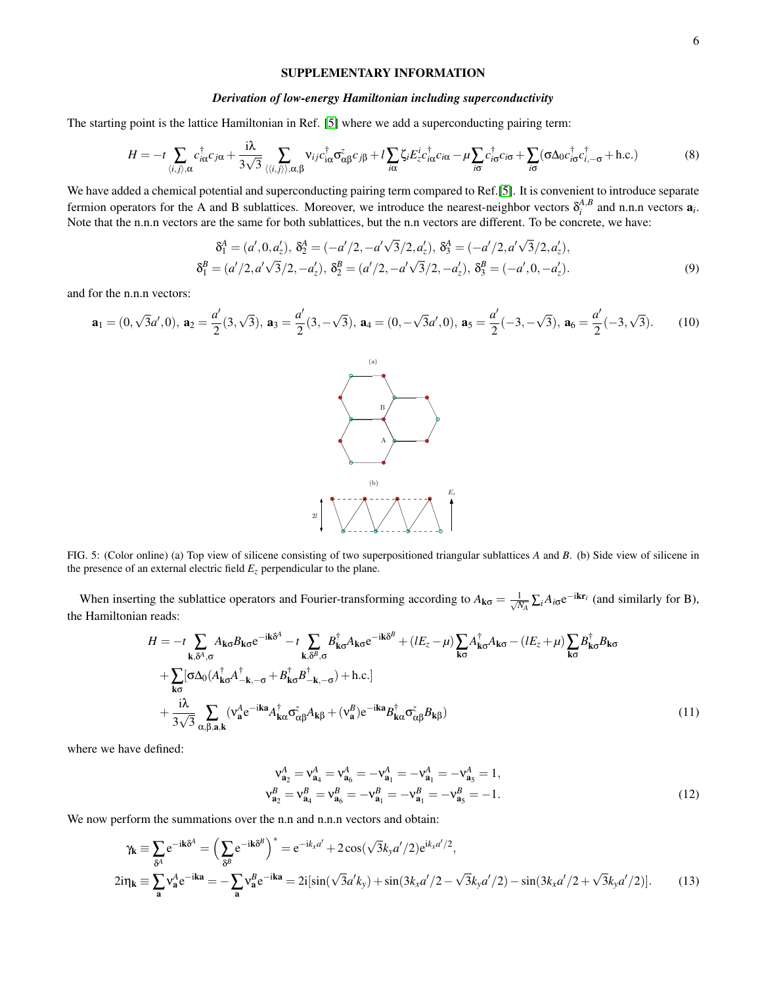## SUPPLEMENTARY INFORMATION

## *Derivation of low-energy Hamiltonian including superconductivity*

The starting point is the lattice Hamiltonian in Ref. [\[5\]](#page-4-4) where we add a superconducting pairing term:

$$
H = -t\sum_{\langle i,j\rangle,\alpha} c_{i\alpha}^{\dagger} c_{j\alpha} + \frac{i\lambda}{3\sqrt{3}} \sum_{\langle\langle i,j\rangle\rangle,\alpha,\beta} \mathbf{v}_{ij} c_{i\alpha}^{\dagger} \sigma_{\alpha\beta}^{z} c_{j\beta} + l\sum_{i\alpha} \zeta_{i} E_{z}^{i} c_{i\alpha}^{\dagger} c_{i\alpha} - \mu \sum_{i\sigma} c_{i\sigma}^{\dagger} c_{i\sigma} + \sum_{i\sigma} (\sigma \Delta_{0} c_{i\sigma}^{\dagger} c_{i,-\sigma}^{\dagger} + \text{h.c.})
$$
(8)

We have added a chemical potential and superconducting pairing term compared to Ref.[\[5\]](#page-4-4). It is convenient to introduce separate fermion operators for the A and B sublattices. Moreover, we introduce the nearest-neighbor vectors  $\delta_i^{A,B}$  and n.n.n vectors  $a_i$ . Note that the n.n.n vectors are the same for both sublattices, but the n.n vectors are different. To be concrete, we have:

$$
\delta_1^A = (a', 0, a'_z), \delta_2^A = (-a'/2, -a'\sqrt{3}/2, a'_z), \delta_3^A = (-a'/2, a'\sqrt{3}/2, a'_z), \n\delta_1^B = (a'/2, a'\sqrt{3}/2, -a'_z), \delta_2^B = (a'/2, -a'\sqrt{3}/2, -a'_z), \delta_3^B = (-a', 0, -a'_z).
$$
\n(9)

and for the n.n.n vectors:

$$
\mathbf{a}_1 = (0, \sqrt{3}a', 0), \ \mathbf{a}_2 = \frac{a'}{2}(3, \sqrt{3}), \ \mathbf{a}_3 = \frac{a'}{2}(3, -\sqrt{3}), \ \mathbf{a}_4 = (0, -\sqrt{3}a', 0), \ \mathbf{a}_5 = \frac{a'}{2}(-3, -\sqrt{3}), \ \mathbf{a}_6 = \frac{a'}{2}(-3, \sqrt{3}).
$$
 (10)



<span id="page-5-0"></span>FIG. 5: (Color online) (a) Top view of silicene consisting of two superpositioned triangular sublattices *A* and *B*. (b) Side view of silicene in the presence of an external electric field  $E_z$  perpendicular to the plane.

When inserting the sublattice operators and Fourier-transforming according to  $A_{\mathbf{k}\sigma} = \frac{1}{\sqrt{N_A}} \sum_i A_{i\sigma} e^{-i\mathbf{k}\mathbf{r}_i}$  (and similarly for B), the Hamiltonian reads:

$$
H = -t \sum_{\mathbf{k}, \delta^{A}, \sigma} A_{\mathbf{k}\sigma} B_{\mathbf{k}\sigma} e^{-i\mathbf{k}\delta^{A}} - t \sum_{\mathbf{k}, \delta^{B}, \sigma} B_{\mathbf{k}\sigma}^{\dagger} A_{\mathbf{k}\sigma} e^{-i\mathbf{k}\delta^{B}} + (lE_{z} - \mu) \sum_{\mathbf{k}\sigma} A_{\mathbf{k}\sigma}^{\dagger} A_{\mathbf{k}\sigma} - (lE_{z} + \mu) \sum_{\mathbf{k}\sigma} B_{\mathbf{k}\sigma}^{\dagger} B_{\mathbf{k}\sigma} + \sum_{\mathbf{k}\sigma} [\sigma \Delta_{0} (A_{\mathbf{k}\sigma}^{\dagger} A_{-\mathbf{k}, -\sigma}^{\dagger} + B_{\mathbf{k}\sigma}^{\dagger} B_{-\mathbf{k}, -\sigma}^{\dagger}) + \text{h.c.}] + \frac{i\lambda}{3\sqrt{3}} \sum_{\alpha, \beta, \mathbf{a}, \mathbf{k}} (\mathbf{v}_{\mathbf{a}}^{A} e^{-i\mathbf{k}\mathbf{a}} A_{\mathbf{k}\alpha}^{\dagger} \sigma_{\alpha\beta}^{z} A_{\mathbf{k}\beta} + (\mathbf{v}_{\mathbf{a}}^{B}) e^{-i\mathbf{k}\mathbf{a}} B_{\mathbf{k}\alpha}^{\dagger} \sigma_{\alpha\beta}^{z} B_{\mathbf{k}\beta})
$$
\n(11)

where we have defined:

$$
\mathbf{v}_{\mathbf{a}_2}^A = \mathbf{v}_{\mathbf{a}_4}^A = \mathbf{v}_{\mathbf{a}_6}^A = -\mathbf{v}_{\mathbf{a}_1}^A = -\mathbf{v}_{\mathbf{a}_1}^A = -\mathbf{v}_{\mathbf{a}_5}^A = 1,
$$
  
\n
$$
\mathbf{v}_{\mathbf{a}_2}^B = \mathbf{v}_{\mathbf{a}_4}^B = \mathbf{v}_{\mathbf{a}_6}^B = -\mathbf{v}_{\mathbf{a}_1}^B = -\mathbf{v}_{\mathbf{a}_1}^B = -\mathbf{v}_{\mathbf{a}_5}^B = -1.
$$
\n(12)

We now perform the summations over the n.n and n.n.n vectors and obtain:

$$
\gamma_{\mathbf{k}} \equiv \sum_{\delta^A} e^{-i\mathbf{k}\delta^A} = \left(\sum_{\delta^B} e^{-i\mathbf{k}\delta^B}\right)^* = e^{-ik_x a'} + 2\cos(\sqrt{3}k_y a'/2)e^{ik_x a'/2},
$$
  
\n
$$
2i\eta_{\mathbf{k}} \equiv \sum_{\mathbf{a}} v_{\mathbf{a}}^A e^{-i\mathbf{k}\mathbf{a}} = -\sum_{\mathbf{a}} v_{\mathbf{a}}^B e^{-i\mathbf{k}\mathbf{a}} = 2i[\sin(\sqrt{3}a'k_y) + \sin(3k_x a'/2 - \sqrt{3}k_y a'/2) - \sin(3k_x a'/2 + \sqrt{3}k_y a'/2)].
$$
\n(13)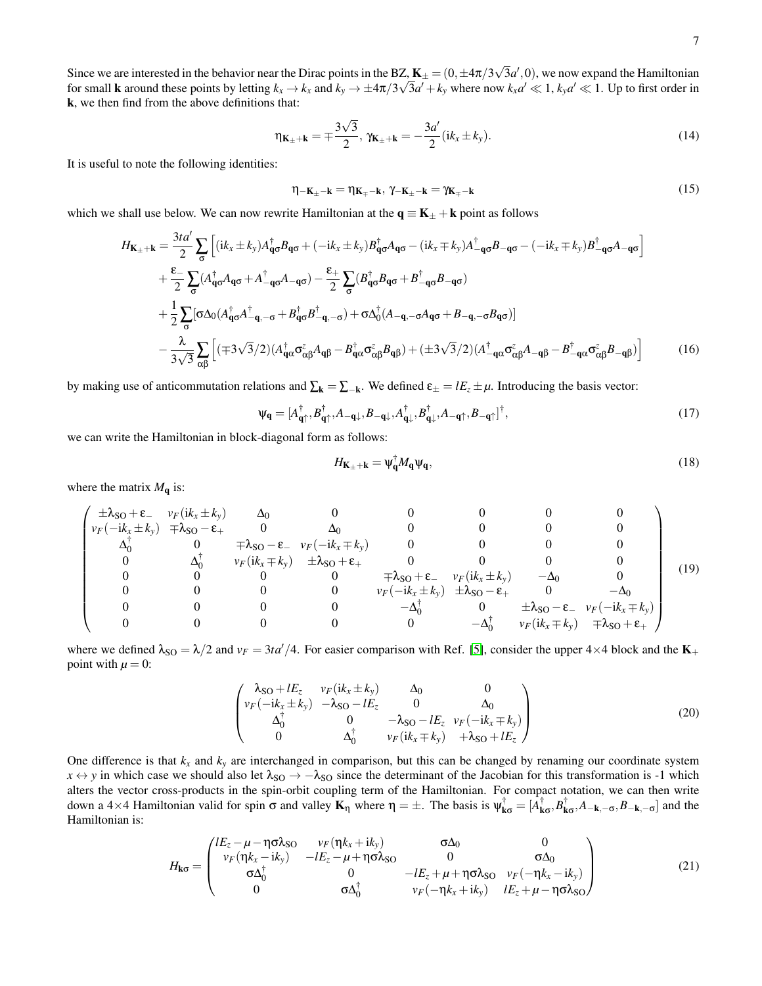Since we are interested in the behavior near the Dirac points in the BZ,  $\mathbf{K}_{\pm} = (0, \pm 4\pi/3\sqrt{3}a', 0)$ , we now expand the Hamiltonian For small **k** around these points by letting  $k_x \to k_x$  and  $k_y \to \pm 4\pi/3\sqrt{3}a' + k_y$  where now  $k_x a' \ll 1$ ,  $k_y a' \ll 1$ . Up to first order in k, we then find from the above definitions that:

$$
\eta_{\mathbf{K}_{\pm}+\mathbf{k}} = \pm \frac{3\sqrt{3}}{2}, \, \gamma_{\mathbf{K}_{\pm}+\mathbf{k}} = -\frac{3a'}{2} (ik_x \pm k_y). \tag{14}
$$

It is useful to note the following identities:

$$
\eta_{-\mathbf{K}_{\pm}-\mathbf{k}} = \eta_{\mathbf{K}_{\mp}-\mathbf{k}}, \, \gamma_{-\mathbf{K}_{\pm}-\mathbf{k}} = \gamma_{\mathbf{K}_{\mp}-\mathbf{k}} \tag{15}
$$

which we shall use below. We can now rewrite Hamiltonian at the  $q \equiv K_{\pm} + k$  point as follows

$$
H_{\mathbf{K}_{\pm}+\mathbf{k}} = \frac{3t\alpha'}{2} \sum_{\sigma} \left[ (ik_{x} \pm k_{y}) A_{\mathbf{q}\sigma}^{\dagger} B_{\mathbf{q}\sigma} + (-ik_{x} \pm k_{y}) B_{\mathbf{q}\sigma}^{\dagger} A_{\mathbf{q}\sigma} - (ik_{x} \mp k_{y}) A_{-\mathbf{q}\sigma}^{\dagger} B_{-\mathbf{q}\sigma} - (-ik_{x} \mp k_{y}) B_{-\mathbf{q}\sigma}^{\dagger} A_{-\mathbf{q}\sigma} \right]
$$
  
+ 
$$
\frac{\varepsilon}{2} \sum_{\sigma} (A_{\mathbf{q}\sigma}^{\dagger} A_{\mathbf{q}\sigma} + A_{-\mathbf{q}\sigma}^{\dagger} A_{-\mathbf{q}\sigma}) - \frac{\varepsilon}{2} \sum_{\sigma} (B_{\mathbf{q}\sigma}^{\dagger} B_{\mathbf{q}\sigma} + B_{-\mathbf{q}\sigma}^{\dagger} B_{-\mathbf{q}\sigma})
$$
  
+ 
$$
\frac{1}{2} \sum_{\sigma} [\sigma \Delta_{0} (A_{\mathbf{q}\sigma}^{\dagger} A_{-\mathbf{q}, -\sigma}^{\dagger} + B_{\mathbf{q}\sigma}^{\dagger} B_{-\mathbf{q}, -\sigma}^{\dagger}) + \sigma \Delta_{0}^{\dagger} (A_{-\mathbf{q}, -\sigma} A_{\mathbf{q}\sigma} + B_{-\mathbf{q}, -\sigma} B_{\mathbf{q}\sigma})] - \frac{\lambda}{3\sqrt{3}} \sum_{\alpha\beta} \left[ (\mp 3\sqrt{3}/2) (A_{\mathbf{q}\alpha}^{\dagger} \sigma_{\alpha\beta}^{\dagger} A_{\mathbf{q}\beta} - B_{\mathbf{q}\alpha}^{\dagger} \sigma_{\alpha\beta}^{\dagger} B_{\mathbf{q}\beta}) + (\pm 3\sqrt{3}/2) (A_{-\mathbf{q}\alpha}^{\dagger} \sigma_{\alpha\beta}^{\dagger} A_{-\mathbf{q}\beta} - B_{-\mathbf{q}\alpha}^{\dagger} \sigma_{\alpha\beta}^{\dagger} B_{-\mathbf{q}\beta}) \right]
$$
(16)

by making use of anticommutation relations and  $\Sigma_k = \Sigma_{-k}$ . We defined  $\epsilon_{\pm} = lE_z \pm \mu$ . Introducing the basis vector:

$$
\Psi_{\mathbf{q}} = [A_{\mathbf{q}\uparrow}^{\dagger}, B_{\mathbf{q}\uparrow}^{\dagger}, A_{-\mathbf{q}\downarrow}, B_{-\mathbf{q}\downarrow}, A_{\mathbf{q}\downarrow}^{\dagger}, B_{\mathbf{q}\downarrow}^{\dagger}, A_{-\mathbf{q}\uparrow}, B_{-\mathbf{q}\uparrow}]^{\dagger},
$$
\n(17)

we can write the Hamiltonian in block-diagonal form as follows:

$$
H_{\mathbf{K}_{\pm}+\mathbf{k}} = \psi_{\mathbf{q}}^{\dagger} M_{\mathbf{q}} \psi_{\mathbf{q}},\tag{18}
$$

where the matrix  $M_{q}$  is:

$$
\begin{pmatrix}\n\pm\lambda_{SO} + \varepsilon & v_F(ik_x \pm k_y) & \Delta_0 & 0 & 0 & 0 & 0 & 0 \\
v_F(-ik_x \pm k_y) & \mp\lambda_{SO} - \varepsilon_+ & 0 & \Delta_0 & 0 & 0 & 0 & 0 \\
\Delta_0^{\dagger} & 0 & \mp\lambda_{SO} - \varepsilon_- & v_F(-ik_x \mp k_y) & 0 & 0 & 0 & 0 \\
0 & \Delta_0^{\dagger} & v_F(ik_x \mp k_y) & \pm\lambda_{SO} + \varepsilon_+ & 0 & 0 & 0 & 0 \\
0 & 0 & 0 & 0 & \mp\lambda_{SO} + \varepsilon_- & v_F(ik_x \pm k_y) & -\Delta_0 & 0 \\
0 & 0 & 0 & 0 & v_F(-ik_x \pm k_y) & \pm\lambda_{SO} - \varepsilon_+ & 0 & -\Delta_0 \\
0 & 0 & 0 & 0 & -\Delta_0^{\dagger} & 0 & \pm\lambda_{SO} - \varepsilon_- & v_F(-ik_x \mp k_y) \\
0 & 0 & 0 & 0 & -\Delta_0^{\dagger} & v_F(ik_x \mp k_y) & \mp\lambda_{SO} + \varepsilon_+ \\
0 & 0 & 0 & 0 & 0 & -\Delta_0^{\dagger} & v_F(ik_x \mp k_y) & \mp\lambda_{SO} + \varepsilon_+ \\
0 & 0 & 0 & 0 & 0 & -\Delta_0^{\dagger} & v_F(ik_x \mp k_y) & \mp\lambda_{SO} + \varepsilon_+ \\
\end{pmatrix}
$$
(19)

where we defined  $\lambda_{SO} = \lambda/2$  and  $v_F = 3t a'/4$ . For easier comparison with Ref. [\[5\]](#page-4-4), consider the upper 4×4 block and the **K**<sub>+</sub> point with  $\mu = 0$ :

$$
\begin{pmatrix}\n\lambda_{\text{SO}} + lE_z & v_F(i k_x \pm k_y) & \Delta_0 & 0 \\
v_F(-i k_x \pm k_y) & -\lambda_{\text{SO}} - lE_z & 0 & \Delta_0 \\
\Delta_0^{\dagger} & 0 & -\lambda_{\text{SO}} - lE_z & v_F(-i k_x \mp k_y) \\
0 & \Delta_0^{\dagger} & v_F(i k_x \mp k_y) & +\lambda_{\text{SO}} + lE_z\n\end{pmatrix}
$$
\n(20)

One difference is that  $k_x$  and  $k_y$  are interchanged in comparison, but this can be changed by renaming our coordinate system  $x \leftrightarrow y$  in which case we should also let  $\lambda_{SO} \rightarrow -\lambda_{SO}$  since the determinant of the Jacobian for this transformation is -1 which alters the vector cross-products in the spin-orbit coupling term of the Hamiltonian. For compact notation, we can then write down a 4×4 Hamiltonian valid for spin  $\sigma$  and valley  $\mathbf{K}_{\eta}$  where  $\eta = \pm$ . The basis is  $\psi_{\mathbf{k}\sigma}^{\dagger} = [\hat{A}_{\mathbf{k}\sigma}^{\dagger}, \hat{B}_{\mathbf{k}\sigma}^{\dagger}, A_{-\mathbf{k}, -\sigma}, B_{-\mathbf{k}, -\sigma}]$  and the Hamiltonian is:

$$
H_{\mathbf{k}\sigma} = \begin{pmatrix} lE_z - \mu - \eta \sigma \lambda_{SO} & v_F(\eta k_x + ik_y) & \sigma \Delta_0 & 0 \\ v_F(\eta k_x - ik_y) & -lE_z - \mu + \eta \sigma \lambda_{SO} & 0 & \sigma \Delta_0 \\ \sigma \Delta_0^{\dagger} & 0 & -lE_z + \mu + \eta \sigma \lambda_{SO} & v_F(-\eta k_x - ik_y) \\ 0 & \sigma \Delta_0^{\dagger} & v_F(-\eta k_x + ik_y) & lE_z + \mu - \eta \sigma \lambda_{SO} \end{pmatrix}
$$
(21)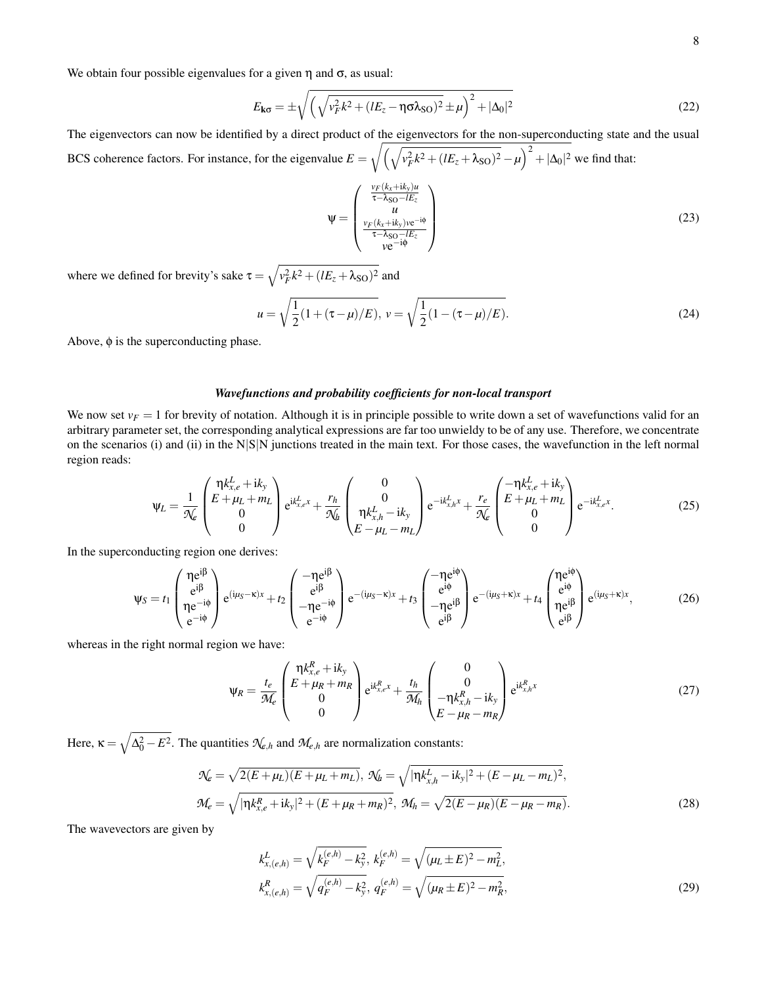We obtain four possible eigenvalues for a given  $\eta$  and  $\sigma$ , as usual:

$$
E_{\mathbf{k}\sigma} = \pm \sqrt{\left(\sqrt{v_F^2 k^2 + (lE_z - \eta \sigma \lambda_{\rm SO})^2} \pm \mu\right)^2 + |\Delta_0|^2}
$$
(22)

The eigenvectors can now be identified by a direct product of the eigenvectors for the non-superconducting state and the usual BCS coherence factors. For instance, for the eigenvalue  $E = \sqrt{\left(\sqrt{v_F^2 k^2 + (lE_z + \lambda_{SO})^2} - \mu\right)^2 + |\Delta_0|^2}$  we find that:

$$
\Psi = \begin{pmatrix} \frac{v_F(k_x + ik_y)u}{\tau - \lambda_{\text{SO}} - lE_z} \\ u \\ \frac{v_F(k_x + ik_y)v e^{-i\phi}}{\tau - \lambda_{\text{SO}} - lE_z} \\ v e^{-i\phi} \end{pmatrix}
$$
(23)

where we defined for brevity's sake  $\tau = \sqrt{v_F^2 k^2 + (lE_z + \lambda_{\text{SO}})^2}$  and

$$
u = \sqrt{\frac{1}{2}(1 + (\tau - \mu)/E)}, \ v = \sqrt{\frac{1}{2}(1 - (\tau - \mu)/E)}.
$$
 (24)

Above,  $\phi$  is the superconducting phase.

## *Wavefunctions and probability coefficients for non-local transport*

We now set  $v_F = 1$  for brevity of notation. Although it is in principle possible to write down a set of wavefunctions valid for an arbitrary parameter set, the corresponding analytical expressions are far too unwieldy to be of any use. Therefore, we concentrate on the scenarios (i) and (ii) in the  $N|S|N$  junctions treated in the main text. For those cases, the wavefunction in the left normal region reads:

$$
\Psi_L = \frac{1}{\mathcal{N}_e} \begin{pmatrix} \eta k_{x,e}^L + i k_y \\ E + \mu_L + m_L \\ 0 \\ 0 \end{pmatrix} e^{ik_{x,e}^L x} + \frac{r_h}{\mathcal{N}_h} \begin{pmatrix} 0 \\ 0 \\ \eta k_{x,h}^L - i k_y \\ E - \mu_L - m_L \end{pmatrix} e^{-ik_{x,h}^L x} + \frac{r_e}{\mathcal{N}_e} \begin{pmatrix} -\eta k_{x,e}^L + i k_y \\ E + \mu_L + m_L \\ 0 \\ 0 \end{pmatrix} e^{-ik_{x,e}^L x}.
$$
 (25)

In the superconducting region one derives:

$$
\psi_{S}=t_{1}\begin{pmatrix} \eta e^{i\beta} \\ e^{i\beta} \\ \eta e^{-i\phi} \\ e^{-i\phi} \end{pmatrix}e^{(i\mu_{S}-\kappa)x}+t_{2}\begin{pmatrix} -\eta e^{i\beta} \\ e^{i\beta} \\ -\eta e^{-i\phi} \\ e^{-i\phi} \end{pmatrix}e^{-(i\mu_{S}-\kappa)x}+t_{3}\begin{pmatrix} -\eta e^{i\phi} \\ e^{i\phi} \\ -\eta e^{i\beta} \\ e^{i\beta} \end{pmatrix}e^{-(i\mu_{S}+\kappa)x}+t_{4}\begin{pmatrix} \eta e^{i\phi} \\ e^{i\phi} \\ \eta e^{i\beta} \\ e^{i\beta} \end{pmatrix}e^{(i\mu_{S}+\kappa)x}, \qquad (26)
$$

whereas in the right normal region we have:

$$
\Psi_R = \frac{t_e}{\mathcal{M}_e} \begin{pmatrix} \eta k_{x,e}^R + i k_y \\ E + \mu_R + m_R \\ 0 \\ 0 \end{pmatrix} e^{ik_{x,e}^R x} + \frac{t_h}{\mathcal{M}_h} \begin{pmatrix} 0 \\ 0 \\ -\eta k_{x,h}^R - i k_y \\ E - \mu_R - m_R \end{pmatrix} e^{ik_{x,h}^R x}
$$
(27)

Here,  $\kappa = \sqrt{\Delta_0^2 - E^2}$ . The quantities  $\mathcal{N}_{e,h}$  and  $\mathcal{M}_{e,h}$  are normalization constants:

$$
\mathcal{N}_e = \sqrt{2(E + \mu_L)(E + \mu_L + m_L)}, \ \mathcal{N}_b = \sqrt{|\eta k_{x,h}^L - ik_y|^2 + (E - \mu_L - m_L)^2},
$$
  

$$
\mathcal{M}_e = \sqrt{|\eta k_{x,e}^R + ik_y|^2 + (E + \mu_R + m_R)^2}, \ \mathcal{M}_h = \sqrt{2(E - \mu_R)(E - \mu_R - m_R)}.
$$
 (28)

The wavevectors are given by

$$
k_{x,(e,h)}^{L} = \sqrt{k_F^{(e,h)} - k_y^2}, \ k_F^{(e,h)} = \sqrt{(\mu_L \pm E)^2 - m_L^2},
$$
  

$$
k_{x,(e,h)}^{R} = \sqrt{q_F^{(e,h)} - k_y^2}, \ q_F^{(e,h)} = \sqrt{(\mu_R \pm E)^2 - m_R^2},
$$
\n(29)